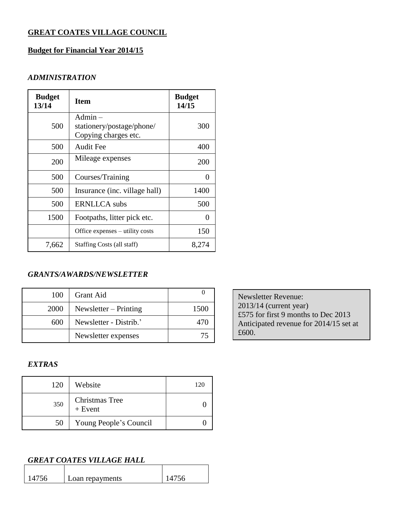# **GREAT COATES VILLAGE COUNCIL**

## **Budget for Financial Year 2014/15**

### *ADMINISTRATION*

| <b>Budget</b><br>13/14 | <b>Item</b>                                                    | <b>Budget</b><br>14/15 |
|------------------------|----------------------------------------------------------------|------------------------|
| 500                    | $Admin -$<br>stationery/postage/phone/<br>Copying charges etc. | 300                    |
| 500                    | Audit Fee                                                      | 400                    |
| 200                    | Mileage expenses                                               | 200                    |
| 500                    | Courses/Training                                               |                        |
| 500                    | Insurance (inc. village hall)                                  | 1400                   |
| 500                    | <b>ERNLLCA</b> subs                                            | 500                    |
| 1500                   | Footpaths, litter pick etc.                                    | $\mathcal{O}$          |
|                        | Office expenses – utility costs                                | 150                    |
| 7,662                  | Staffing Costs (all staff)                                     | 8,274                  |

### *GRANTS/AWARDS/NEWSLETTER*

| 100  | Grant Aid               |      |
|------|-------------------------|------|
| 2000 | Newsletter $-$ Printing | 1500 |
| 600  | Newsletter - Distrib.'  | 470  |
|      | Newsletter expenses     |      |

Newsletter Revenue: 2013/14 (current year) £575 for first 9 months to Dec 2013 Anticipated revenue for 2014/15 set at £600.

# *EXTRAS*

| 120 | Website                            | 120 |
|-----|------------------------------------|-----|
| 350 | <b>Christmas Tree</b><br>$+$ Event |     |
| 50  | Young People's Council             |     |

# *GREAT COATES VILLAGE HALL*

| 14756 | Loan repayments | 1756 |
|-------|-----------------|------|